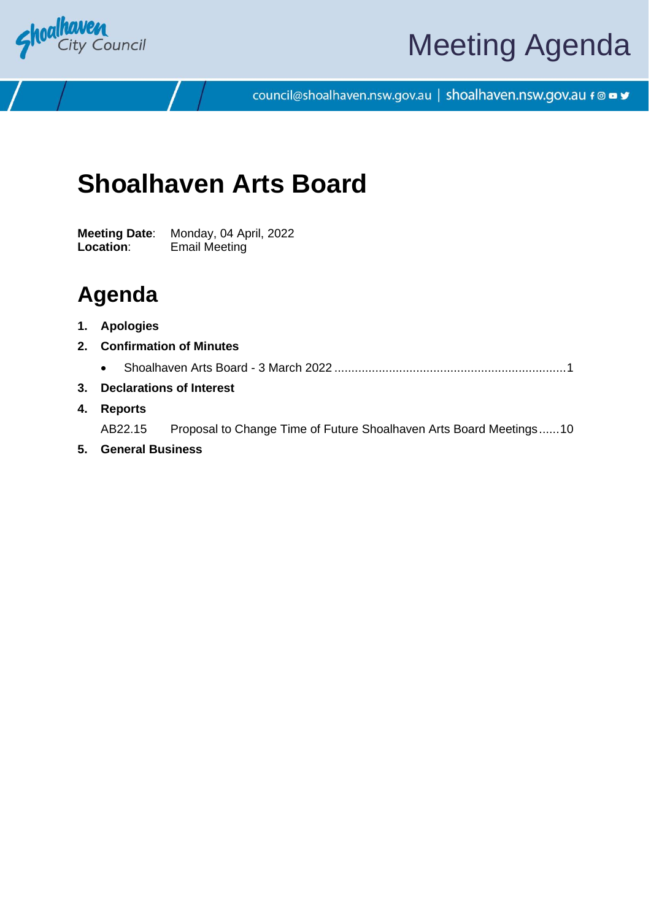

# Meeting Agenda

council@shoalhaven.nsw.gov.au | shoalhaven.nsw.gov.au f @ ■ y

# **Shoalhaven Arts Board**

**Meeting Date**: Monday, 04 April, 2022 **Location**: Email Meeting

### **Agenda**

- **1. Apologies**
- **2. Confirmation of Minutes**
	- Shoalhaven Arts Board 3 March 2022 ...................................................................[.1](#page-2-0)
- **3. Declarations of Interest**
- **4. Reports**

AB22.15 Proposal to Change Time of Future Shoalhaven Arts Board Meetings.....[.10](#page-11-0)

**5. General Business**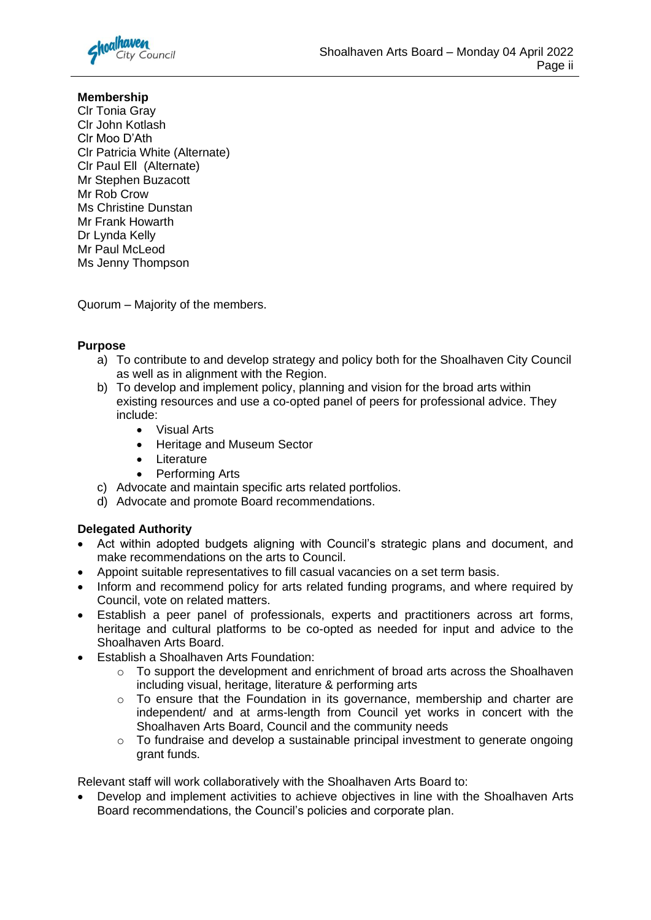

#### **Membership**

Clr Tonia Gray Clr John Kotlash Clr Moo D'Ath Clr Patricia White (Alternate) Clr Paul Ell (Alternate) Mr Stephen Buzacott Mr Rob Crow Ms Christine Dunstan Mr Frank Howarth Dr Lynda Kelly Mr Paul McLeod Ms Jenny Thompson

Quorum – Majority of the members.

#### **Purpose**

- a) To contribute to and develop strategy and policy both for the Shoalhaven City Council as well as in alignment with the Region.
- b) To develop and implement policy, planning and vision for the broad arts within existing resources and use a co-opted panel of peers for professional advice. They include:
	- Visual Arts
	- Heritage and Museum Sector
	- Literature
	- Performing Arts
- c) Advocate and maintain specific arts related portfolios.
- d) Advocate and promote Board recommendations.

#### **Delegated Authority**

- Act within adopted budgets aligning with Council's strategic plans and document, and make recommendations on the arts to Council.
- Appoint suitable representatives to fill casual vacancies on a set term basis.
- Inform and recommend policy for arts related funding programs, and where required by Council, vote on related matters.
- Establish a peer panel of professionals, experts and practitioners across art forms, heritage and cultural platforms to be co-opted as needed for input and advice to the Shoalhaven Arts Board.
- Establish a Shoalhaven Arts Foundation:
	- $\circ$  To support the development and enrichment of broad arts across the Shoalhaven including visual, heritage, literature & performing arts
	- o To ensure that the Foundation in its governance, membership and charter are independent/ and at arms-length from Council yet works in concert with the Shoalhaven Arts Board, Council and the community needs
	- $\circ$  To fundraise and develop a sustainable principal investment to generate ongoing grant funds.

Relevant staff will work collaboratively with the Shoalhaven Arts Board to:

• Develop and implement activities to achieve objectives in line with the Shoalhaven Arts Board recommendations, the Council's policies and corporate plan.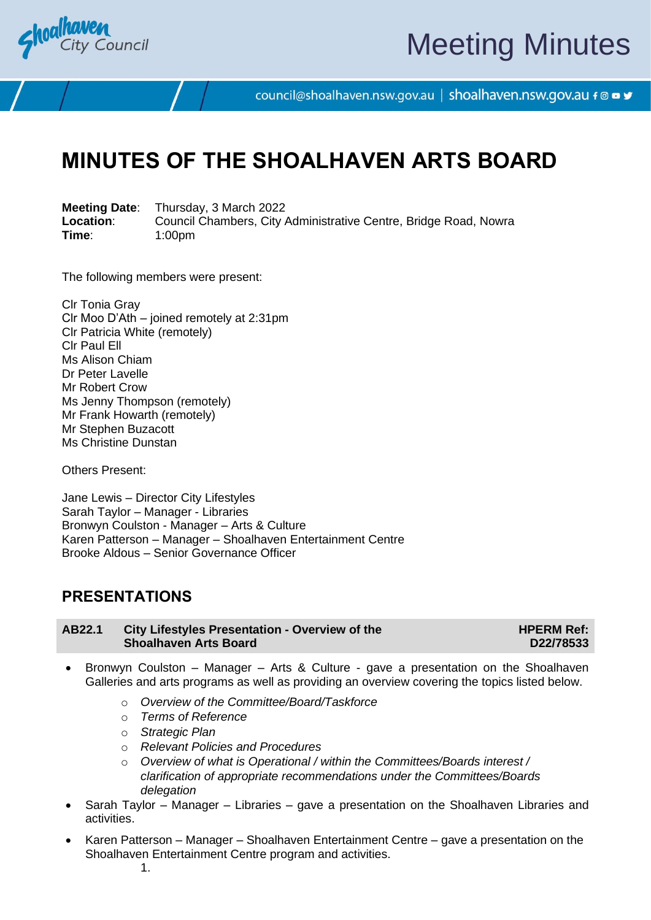<span id="page-2-0"></span>

# Meeting Minutes

council@shoalhaven.nsw.gov.au | shoalhaven.nsw.gov.au f @ ■ y

## **MINUTES OF THE SHOALHAVEN ARTS BOARD**

**Meeting Date**: Thursday, 3 March 2022 **Location:** Council Chambers, City Administrative Centre, Bridge Road, Nowra<br>
Time: 1:00pm **Time**: 1:00pm

The following members were present:

Clr Tonia Gray Clr Moo D'Ath – joined remotely at 2:31pm Clr Patricia White (remotely) Clr Paul Ell Ms Alison Chiam Dr Peter Lavelle Mr Robert Crow Ms Jenny Thompson (remotely) Mr Frank Howarth (remotely) Mr Stephen Buzacott Ms Christine Dunstan

Others Present:

Jane Lewis – Director City Lifestyles Sarah Taylor – Manager - Libraries Bronwyn Coulston - Manager – Arts & Culture Karen Patterson – Manager – Shoalhaven Entertainment Centre Brooke Aldous – Senior Governance Officer

### **PRESENTATIONS**

| AB22.1 | <b>City Lifestyles Presentation - Overview of the</b> |
|--------|-------------------------------------------------------|
|        | <b>Shoalhaven Arts Board</b>                          |

**HPERM Ref: D22/78533**

- Bronwyn Coulston Manager Arts & Culture gave a presentation on the Shoalhaven Galleries and arts programs as well as providing an overview covering the topics listed below.
	- o *Overview of the Committee/Board/Taskforce*
	- o *Terms of Reference*
	- o *Strategic Plan*
	- o *Relevant Policies and Procedures*
	- o *Overview of what is Operational / within the Committees/Boards interest / clarification of appropriate recommendations under the Committees/Boards delegation*
- Sarah Taylor Manager Libraries gave a presentation on the Shoalhaven Libraries and activities.
- Karen Patterson Manager Shoalhaven Entertainment Centre gave a presentation on the Shoalhaven Entertainment Centre program and activities.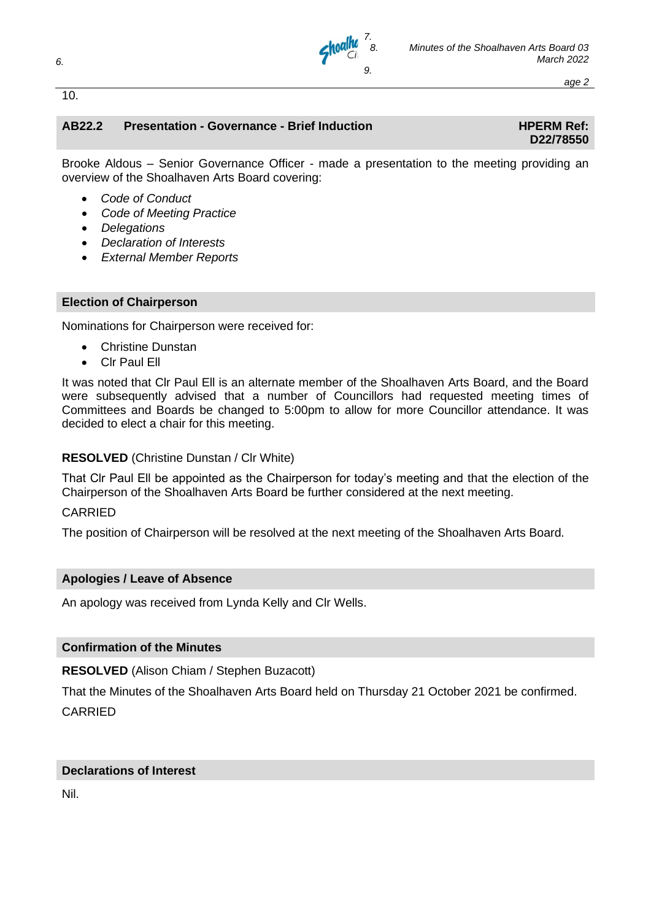

#### **AB22.2 Presentation - Governance - Brief Induction HPERM Ref:**

# **D22/78550**

Brooke Aldous – Senior Governance Officer - made a presentation to the meeting providing an overview of the Shoalhaven Arts Board covering:

- *Code of Conduct*
- *Code of Meeting Practice*
- *Delegations*
- *Declaration of Interests*
- *External Member Reports*

#### **Election of Chairperson**

Nominations for Chairperson were received for:

- Christine Dunstan
- Clr Paul Ell

It was noted that Clr Paul Ell is an alternate member of the Shoalhaven Arts Board, and the Board were subsequently advised that a number of Councillors had requested meeting times of Committees and Boards be changed to 5:00pm to allow for more Councillor attendance. It was decided to elect a chair for this meeting.

#### **RESOLVED** (Christine Dunstan / Clr White)

That Clr Paul Ell be appointed as the Chairperson for today's meeting and that the election of the Chairperson of the Shoalhaven Arts Board be further considered at the next meeting.

#### CARRIED

The position of Chairperson will be resolved at the next meeting of the Shoalhaven Arts Board.

#### **Apologies / Leave of Absence**

An apology was received from Lynda Kelly and Clr Wells.

#### **Confirmation of the Minutes**

**RESOLVED** (Alison Chiam / Stephen Buzacott)

That the Minutes of the Shoalhaven Arts Board held on Thursday 21 October 2021 be confirmed. CARRIED

#### **Declarations of Interest**

Nil.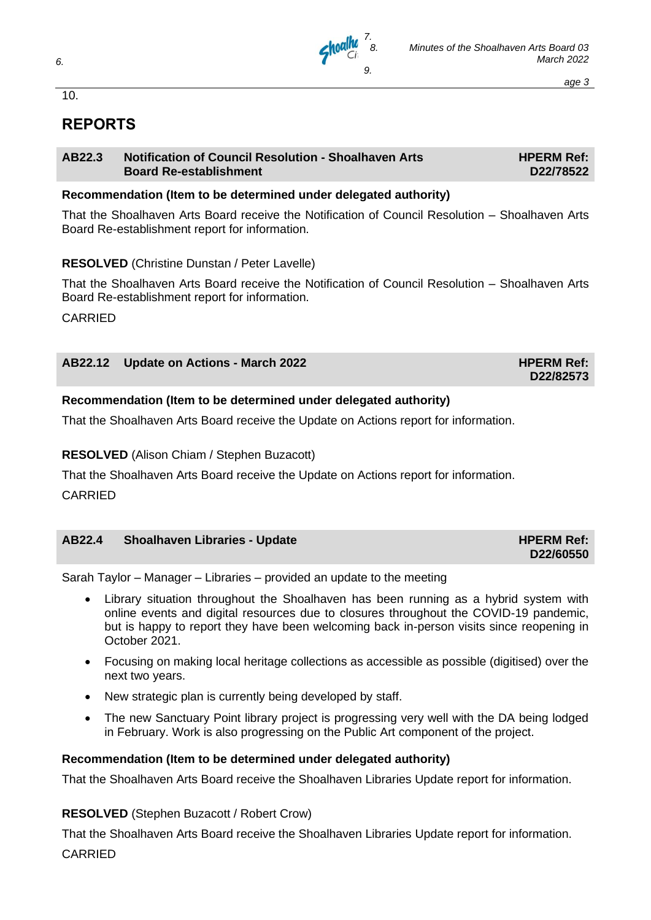

### **REPORTS**

#### **AB22.3 Notification of Council Resolution - Shoalhaven Arts Board Re-establishment**

**HPERM Ref: D22/78522**

#### **Recommendation (Item to be determined under delegated authority)**

That the Shoalhaven Arts Board receive the Notification of Council Resolution – Shoalhaven Arts Board Re-establishment report for information.

#### **RESOLVED** (Christine Dunstan / Peter Lavelle)

That the Shoalhaven Arts Board receive the Notification of Council Resolution – Shoalhaven Arts Board Re-establishment report for information.

CARRIED

| AB22.12 Update on Actions - March 2022 | <b>HPERM Ref:</b> |
|----------------------------------------|-------------------|
|                                        | D22/82573         |

#### **Recommendation (Item to be determined under delegated authority)**

That the Shoalhaven Arts Board receive the Update on Actions report for information.

#### **RESOLVED** (Alison Chiam / Stephen Buzacott)

That the Shoalhaven Arts Board receive the Update on Actions report for information.

CARRIED

| AB22.4 | Shoalhaven Libraries - Update | <b>HPERM Ref:</b> |
|--------|-------------------------------|-------------------|
|        |                               | D22/60550         |

Sarah Taylor – Manager – Libraries – provided an update to the meeting

- Library situation throughout the Shoalhaven has been running as a hybrid system with online events and digital resources due to closures throughout the COVID-19 pandemic, but is happy to report they have been welcoming back in-person visits since reopening in October 2021.
- Focusing on making local heritage collections as accessible as possible (digitised) over the next two years.
- New strategic plan is currently being developed by staff.
- The new Sanctuary Point library project is progressing very well with the DA being lodged in February. Work is also progressing on the Public Art component of the project.

#### **Recommendation (Item to be determined under delegated authority)**

That the Shoalhaven Arts Board receive the Shoalhaven Libraries Update report for information.

**RESOLVED** (Stephen Buzacott / Robert Crow)

That the Shoalhaven Arts Board receive the Shoalhaven Libraries Update report for information. CARRIED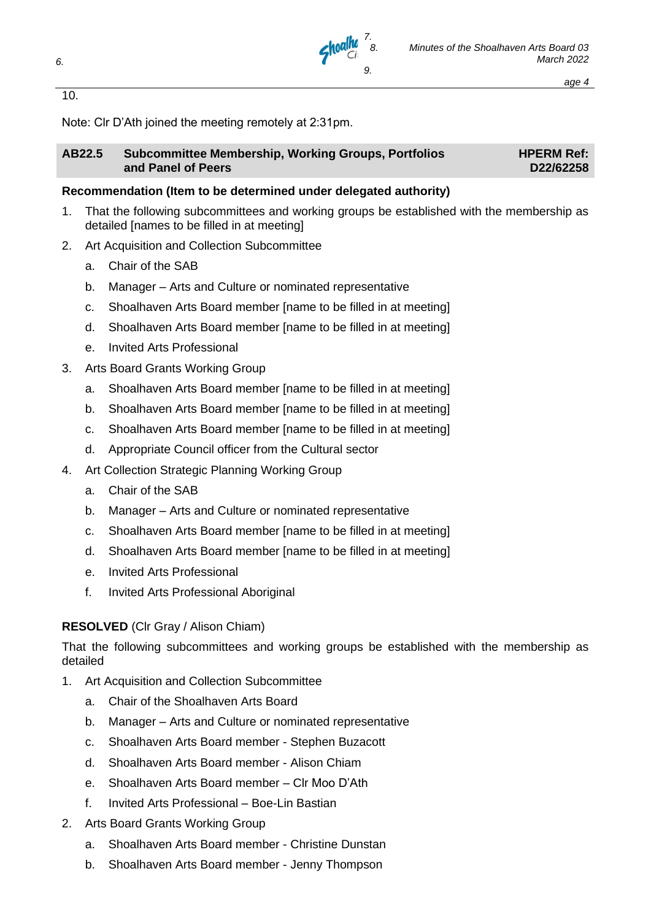

Note: Clr D'Ath joined the meeting remotely at 2:31pm.

#### **AB22.5 Subcommittee Membership, Working Groups, Portfolios and Panel of Peers**

**HPERM Ref: D22/62258**

#### **Recommendation (Item to be determined under delegated authority)**

1. That the following subcommittees and working groups be established with the membership as detailed Inames to be filled in at meetingl

*7.*

- 2. Art Acquisition and Collection Subcommittee
	- a. Chair of the SAB
	- b. Manager Arts and Culture or nominated representative
	- c. Shoalhaven Arts Board member [name to be filled in at meeting]
	- d. Shoalhaven Arts Board member [name to be filled in at meeting]
	- e. Invited Arts Professional
- 3. Arts Board Grants Working Group
	- a. Shoalhaven Arts Board member [name to be filled in at meeting]
	- b. Shoalhaven Arts Board member [name to be filled in at meeting]
	- c. Shoalhaven Arts Board member [name to be filled in at meeting]
	- d. Appropriate Council officer from the Cultural sector
- 4. Art Collection Strategic Planning Working Group
	- a. Chair of the SAB
	- b. Manager Arts and Culture or nominated representative
	- c. Shoalhaven Arts Board member [name to be filled in at meeting]
	- d. Shoalhaven Arts Board member [name to be filled in at meeting]
	- e. Invited Arts Professional
	- f. Invited Arts Professional Aboriginal

#### **RESOLVED** (Clr Gray / Alison Chiam)

That the following subcommittees and working groups be established with the membership as detailed

- 1. Art Acquisition and Collection Subcommittee
	- a. Chair of the Shoalhaven Arts Board
	- b. Manager Arts and Culture or nominated representative
	- c. Shoalhaven Arts Board member Stephen Buzacott
	- d. Shoalhaven Arts Board member Alison Chiam
	- e. Shoalhaven Arts Board member Clr Moo D'Ath
	- f. Invited Arts Professional Boe-Lin Bastian
- 2. Arts Board Grants Working Group
	- a. Shoalhaven Arts Board member Christine Dunstan
	- b. Shoalhaven Arts Board member Jenny Thompson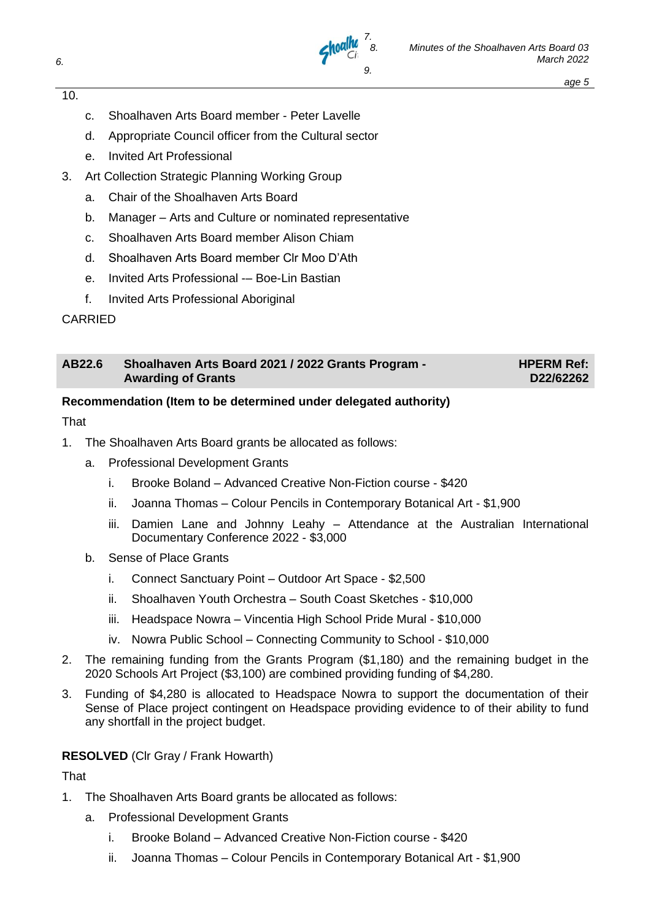

- c. Shoalhaven Arts Board member Peter Lavelle
- d. Appropriate Council officer from the Cultural sector
- e. Invited Art Professional
- 3. Art Collection Strategic Planning Working Group
	- a. Chair of the Shoalhaven Arts Board
	- b. Manager Arts and Culture or nominated representative
	- c. Shoalhaven Arts Board member Alison Chiam
	- d. Shoalhaven Arts Board member Clr Moo D'Ath
	- e. Invited Arts Professional -– Boe-Lin Bastian
	- f. Invited Arts Professional Aboriginal

#### CARRIED

| AB22.6 | Shoalhaven Arts Board 2021 / 2022 Grants Program -<br><b>Awarding of Grants</b> | <b>HPERM Ref:</b><br>D22/62262 |
|--------|---------------------------------------------------------------------------------|--------------------------------|
|        |                                                                                 |                                |

#### **Recommendation (Item to be determined under delegated authority)**

#### **That**

- 1. The Shoalhaven Arts Board grants be allocated as follows:
	- a. Professional Development Grants
		- i. Brooke Boland Advanced Creative Non-Fiction course \$420
		- ii. Joanna Thomas Colour Pencils in Contemporary Botanical Art \$1,900
		- iii. Damien Lane and Johnny Leahy Attendance at the Australian International Documentary Conference 2022 - \$3,000
	- b. Sense of Place Grants
		- i. Connect Sanctuary Point Outdoor Art Space \$2,500
		- ii. Shoalhaven Youth Orchestra South Coast Sketches \$10,000
		- iii. Headspace Nowra Vincentia High School Pride Mural \$10,000
		- iv. Nowra Public School Connecting Community to School \$10,000
- 2. The remaining funding from the Grants Program (\$1,180) and the remaining budget in the 2020 Schools Art Project (\$3,100) are combined providing funding of \$4,280.
- 3. Funding of \$4,280 is allocated to Headspace Nowra to support the documentation of their Sense of Place project contingent on Headspace providing evidence to of their ability to fund any shortfall in the project budget.

#### **RESOLVED** (Clr Gray / Frank Howarth)

#### **That**

- 1. The Shoalhaven Arts Board grants be allocated as follows:
	- a. Professional Development Grants
		- i. Brooke Boland Advanced Creative Non-Fiction course \$420
		- ii. Joanna Thomas Colour Pencils in Contemporary Botanical Art \$1,900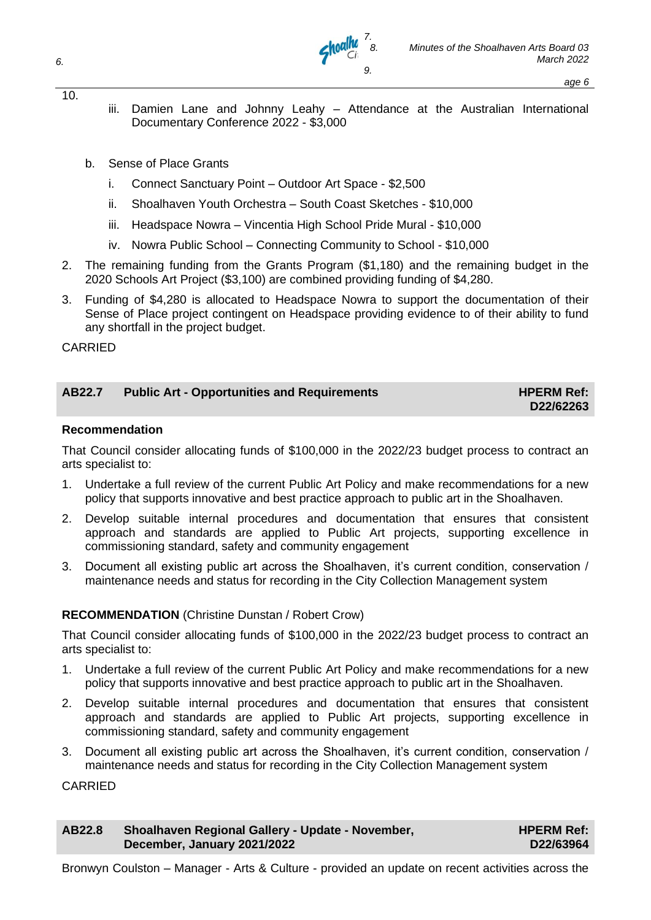

- *age 6*
- iii. Damien Lane and Johnny Leahy Attendance at the Australian International Documentary Conference 2022 - \$3,000
- b. Sense of Place Grants
	- i. Connect Sanctuary Point Outdoor Art Space \$2,500
	- ii. Shoalhaven Youth Orchestra South Coast Sketches \$10,000
	- iii. Headspace Nowra Vincentia High School Pride Mural \$10,000
	- iv. Nowra Public School Connecting Community to School \$10,000
- 2. The remaining funding from the Grants Program (\$1,180) and the remaining budget in the 2020 Schools Art Project (\$3,100) are combined providing funding of \$4,280.
- 3. Funding of \$4,280 is allocated to Headspace Nowra to support the documentation of their Sense of Place project contingent on Headspace providing evidence to of their ability to fund any shortfall in the project budget.

#### CARRIED

#### AB22.7 Public Art - Opportunities and Requirements **HPERM Ref:**

## **D22/62263**

#### **Recommendation**

That Council consider allocating funds of \$100,000 in the 2022/23 budget process to contract an arts specialist to:

- 1. Undertake a full review of the current Public Art Policy and make recommendations for a new policy that supports innovative and best practice approach to public art in the Shoalhaven.
- 2. Develop suitable internal procedures and documentation that ensures that consistent approach and standards are applied to Public Art projects, supporting excellence in commissioning standard, safety and community engagement
- 3. Document all existing public art across the Shoalhaven, it's current condition, conservation / maintenance needs and status for recording in the City Collection Management system

#### **RECOMMENDATION** (Christine Dunstan / Robert Crow)

That Council consider allocating funds of \$100,000 in the 2022/23 budget process to contract an arts specialist to:

- 1. Undertake a full review of the current Public Art Policy and make recommendations for a new policy that supports innovative and best practice approach to public art in the Shoalhaven.
- 2. Develop suitable internal procedures and documentation that ensures that consistent approach and standards are applied to Public Art projects, supporting excellence in commissioning standard, safety and community engagement
- 3. Document all existing public art across the Shoalhaven, it's current condition, conservation / maintenance needs and status for recording in the City Collection Management system

**CARRIED** 

| AB22.8 | Shoalhaven Regional Gallery - Update - November, | <b>HPERM Ref:</b> |
|--------|--------------------------------------------------|-------------------|
|        | December, January 2021/2022                      | D22/63964         |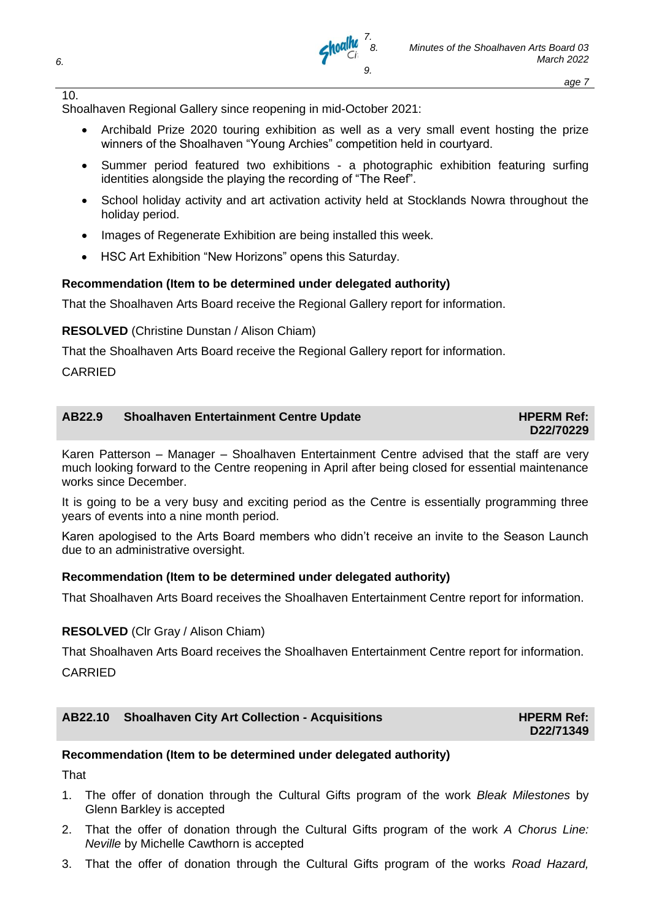

**HPERM Ref: D22/71349**

Shoalhaven Regional Gallery since reopening in mid-October 2021:

• Archibald Prize 2020 touring exhibition as well as a very small event hosting the prize winners of the Shoalhaven "Young Archies" competition held in courtyard.

*7.*

- Summer period featured two exhibitions a photographic exhibition featuring surfing identities alongside the playing the recording of "The Reef".
- School holiday activity and art activation activity held at Stocklands Nowra throughout the holiday period.
- Images of Regenerate Exhibition are being installed this week.
- HSC Art Exhibition "New Horizons" opens this Saturday.

#### **Recommendation (Item to be determined under delegated authority)**

That the Shoalhaven Arts Board receive the Regional Gallery report for information.

**RESOLVED** (Christine Dunstan / Alison Chiam)

That the Shoalhaven Arts Board receive the Regional Gallery report for information.

CARRIED

| AB22.9 | <b>Shoalhaven Entertainment Centre Update</b> | <b>HPERM Ref:</b> |
|--------|-----------------------------------------------|-------------------|
|        |                                               | D22/70229         |

Karen Patterson – Manager – Shoalhaven Entertainment Centre advised that the staff are very much looking forward to the Centre reopening in April after being closed for essential maintenance works since December.

It is going to be a very busy and exciting period as the Centre is essentially programming three years of events into a nine month period.

Karen apologised to the Arts Board members who didn't receive an invite to the Season Launch due to an administrative oversight.

#### **Recommendation (Item to be determined under delegated authority)**

That Shoalhaven Arts Board receives the Shoalhaven Entertainment Centre report for information.

#### **RESOLVED** (Clr Gray / Alison Chiam)

That Shoalhaven Arts Board receives the Shoalhaven Entertainment Centre report for information. **CARRIED** 

| AB22.10 Shoalhaven City Art Collection - Acquisitions |  |
|-------------------------------------------------------|--|
|-------------------------------------------------------|--|

#### **Recommendation (Item to be determined under delegated authority)**

**That** 

- 1. The offer of donation through the Cultural Gifts program of the work *Bleak Milestones* by Glenn Barkley is accepted
- 2. That the offer of donation through the Cultural Gifts program of the work *A Chorus Line: Neville* by Michelle Cawthorn is accepted
- 3. That the offer of donation through the Cultural Gifts program of the works *Road Hazard,*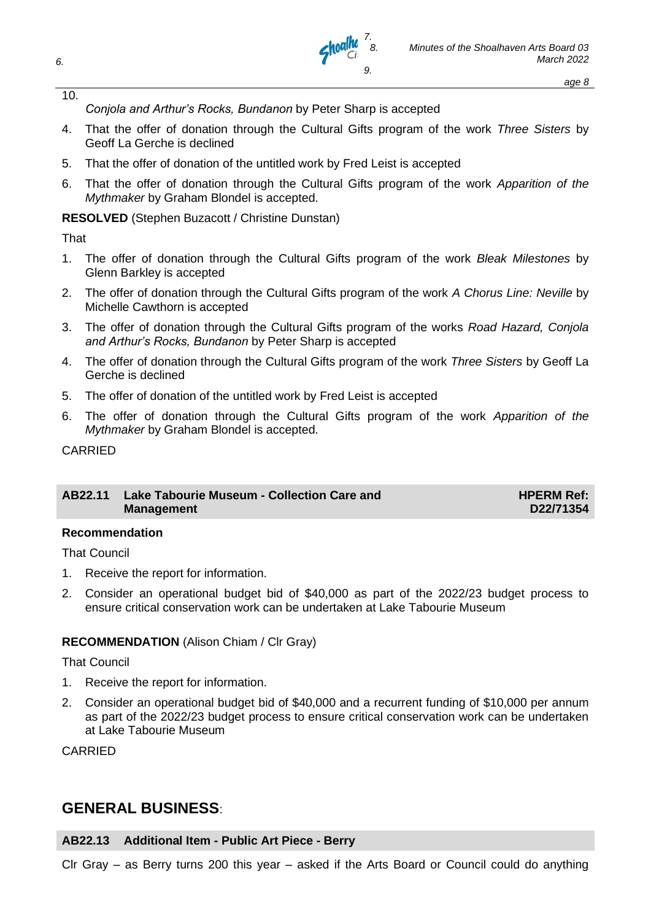

*Conjola and Arthur's Rocks, Bundanon* by Peter Sharp is accepted

- 4. That the offer of donation through the Cultural Gifts program of the work *Three Sisters* by Geoff La Gerche is declined
- 5. That the offer of donation of the untitled work by Fred Leist is accepted
- 6. That the offer of donation through the Cultural Gifts program of the work *Apparition of the Mythmaker* by Graham Blondel is accepted.

**RESOLVED** (Stephen Buzacott / Christine Dunstan)

That

- 1. The offer of donation through the Cultural Gifts program of the work *Bleak Milestones* by Glenn Barkley is accepted
- 2. The offer of donation through the Cultural Gifts program of the work *A Chorus Line: Neville* by Michelle Cawthorn is accepted
- 3. The offer of donation through the Cultural Gifts program of the works *Road Hazard, Conjola and Arthur's Rocks, Bundanon* by Peter Sharp is accepted
- 4. The offer of donation through the Cultural Gifts program of the work *Three Sisters* by Geoff La Gerche is declined
- 5. The offer of donation of the untitled work by Fred Leist is accepted
- 6. The offer of donation through the Cultural Gifts program of the work *Apparition of the Mythmaker* by Graham Blondel is accepted.

CARRIED

#### **AB22.11 Lake Tabourie Museum - Collection Care and Management**

**HPERM Ref: D22/71354**

#### **Recommendation**

That Council

- 1. Receive the report for information.
- 2. Consider an operational budget bid of \$40,000 as part of the 2022/23 budget process to ensure critical conservation work can be undertaken at Lake Tabourie Museum

#### **RECOMMENDATION** (Alison Chiam / Clr Gray)

#### That Council

- 1. Receive the report for information.
- 2. Consider an operational budget bid of \$40,000 and a recurrent funding of \$10,000 per annum as part of the 2022/23 budget process to ensure critical conservation work can be undertaken at Lake Tabourie Museum

CARRIED

### **GENERAL BUSINESS**:

#### **AB22.13 Additional Item - Public Art Piece - Berry**

Clr Gray – as Berry turns 200 this year – asked if the Arts Board or Council could do anything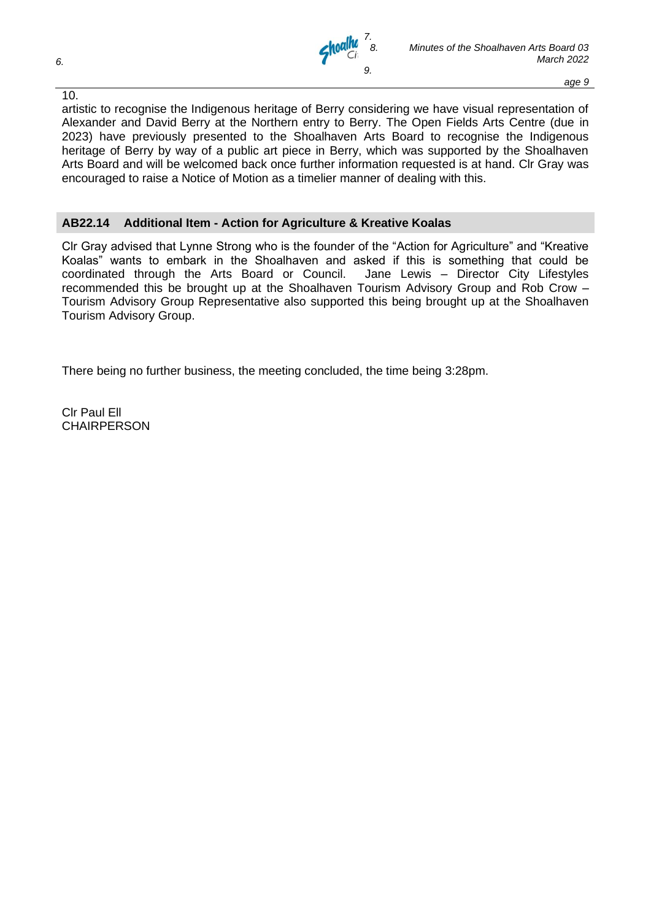

artistic to recognise the Indigenous heritage of Berry considering we have visual representation of Alexander and David Berry at the Northern entry to Berry. The Open Fields Arts Centre (due in 2023) have previously presented to the Shoalhaven Arts Board to recognise the Indigenous heritage of Berry by way of a public art piece in Berry, which was supported by the Shoalhaven Arts Board and will be welcomed back once further information requested is at hand. Clr Gray was encouraged to raise a Notice of Motion as a timelier manner of dealing with this.

#### **AB22.14 Additional Item - Action for Agriculture & Kreative Koalas**

Clr Gray advised that Lynne Strong who is the founder of the "Action for Agriculture" and "Kreative Koalas" wants to embark in the Shoalhaven and asked if this is something that could be coordinated through the Arts Board or Council. Jane Lewis – Director City Lifestyles recommended this be brought up at the Shoalhaven Tourism Advisory Group and Rob Crow – Tourism Advisory Group Representative also supported this being brought up at the Shoalhaven Tourism Advisory Group.

There being no further business, the meeting concluded, the time being 3:28pm.

Clr Paul Ell CHAIRPERSON